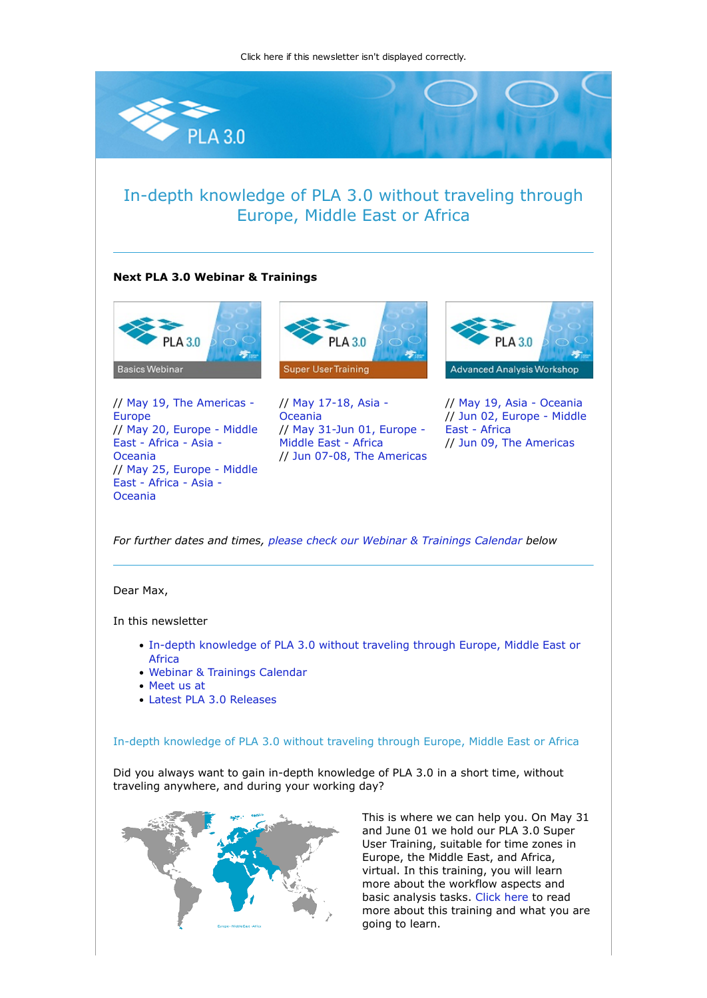[Click here if this newsletter isn't displayed correctly.](https://nl.stegmannsystems.com/mailing/104/5332935/0/9cecf2b436/index.html)





This is where we can help you. On May 31 and June 01 we hold our PLA 3.0 Super User Training, suitable for time zones in Europe, the Middle East, and Africa, virtual. In this training, you will learn more about the workflow aspects and basic analysis tasks. [Click here](https://nl.stegmannsystems.com/c/104/5332935/0/0/0/356931/49b01b2df0.html) to read more about this training and what you are going to learn.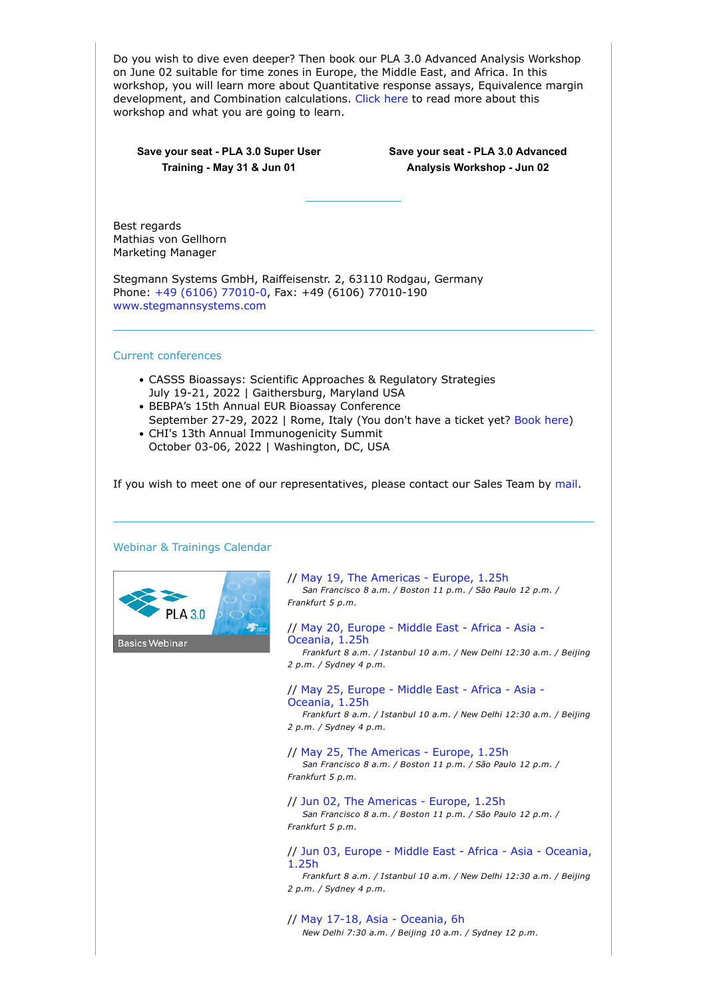| Do you wish to dive even deeper? Then book our PLA 3.0 Advanced Analysis Workshop<br>on June 02 suitable for time zones in Europe, the Middle East, and Africa. In this<br>workshop, you will learn more about Quantitative response assays, Equivalence margin<br>development, and Combination calculations. Click here to read more about this<br>workshop and what you are going to learn. |                                                                                                                                                                       |
|-----------------------------------------------------------------------------------------------------------------------------------------------------------------------------------------------------------------------------------------------------------------------------------------------------------------------------------------------------------------------------------------------|-----------------------------------------------------------------------------------------------------------------------------------------------------------------------|
| Save your seat - PLA 3.0 Super User<br>Training - May 31 & Jun 01                                                                                                                                                                                                                                                                                                                             | Save your seat - PLA 3.0 Advanced<br>Analysis Workshop - Jun 02                                                                                                       |
| Best regards<br>Mathias von Gellhorn<br><b>Marketing Manager</b>                                                                                                                                                                                                                                                                                                                              |                                                                                                                                                                       |
| Stegmann Systems GmbH, Raiffeisenstr. 2, 63110 Rodgau, Germany<br>Phone: +49 (6106) 77010-0, Fax: +49 (6106) 77010-190<br>www.stegmannsystems.com                                                                                                                                                                                                                                             |                                                                                                                                                                       |
| <b>Current conferences</b>                                                                                                                                                                                                                                                                                                                                                                    |                                                                                                                                                                       |
| • CASSS Bioassays: Scientific Approaches & Regulatory Strategies<br>July 19-21, 2022   Gaithersburg, Maryland USA<br>• BEBPA's 15th Annual EUR Bioassay Conference<br>September 27-29, 2022   Rome, Italy (You don't have a ticket yet? Book here)<br>• CHI's 13th Annual Immunogenicity Summit<br>October 03-06, 2022   Washington, DC, USA                                                  |                                                                                                                                                                       |
| If you wish to meet one of our representatives, please contact our Sales Team by mail.<br>Webinar & Trainings Calendar                                                                                                                                                                                                                                                                        |                                                                                                                                                                       |
|                                                                                                                                                                                                                                                                                                                                                                                               | // May 19, The Americas - Europe, 1.25h<br>San Francisco 8 a.m. / Boston 11 p.m. / São Paulo 12 p.m. /<br>Frankfurt 5 p.m.                                            |
| <b>Basics Webinar</b>                                                                                                                                                                                                                                                                                                                                                                         | // May 20, Europe - Middle East - Africa - Asia -<br>Oceania, 1.25h<br>Frankfurt 8 a.m. / Istanbul 10 a.m. / New Delhi 12:30 a.m. / Beijing<br>2 p.m. / Sydney 4 p.m. |
|                                                                                                                                                                                                                                                                                                                                                                                               | // May 25, Europe - Middle East - Africa - Asia -<br>Oceania, 1.25h<br>Frankfurt 8 a.m. / Istanbul 10 a.m. / New Delhi 12:30 a.m. / Beijing<br>2 p.m. / Sydney 4 p.m. |
|                                                                                                                                                                                                                                                                                                                                                                                               | // May 25, The Americas - Europe, 1.25h<br>San Francisco 8 a.m. / Boston 11 p.m. / São Paulo 12 p.m. /<br>Frankfurt 5 p.m.                                            |
|                                                                                                                                                                                                                                                                                                                                                                                               | // Jun 02, The Americas - Europe, 1.25h<br>San Francisco 8 a.m. / Boston 11 p.m. / São Paulo 12 p.m. /<br>Frankfurt 5 p.m.                                            |
|                                                                                                                                                                                                                                                                                                                                                                                               | // Jun 03, Europe - Middle East - Africa - Asia - Oceania,<br>1.25h<br>Frankfurt 8 a.m. / Istanbul 10 a.m. / New Delhi 12:30 a.m. / Beijing<br>2 p.m. / Sydney 4 p.m. |
|                                                                                                                                                                                                                                                                                                                                                                                               | // May 17-18, Asia - Oceania, 6h<br>New Delhi 7:30 a.m. / Beijing 10 a.m. / Sydney 12 p.m.                                                                            |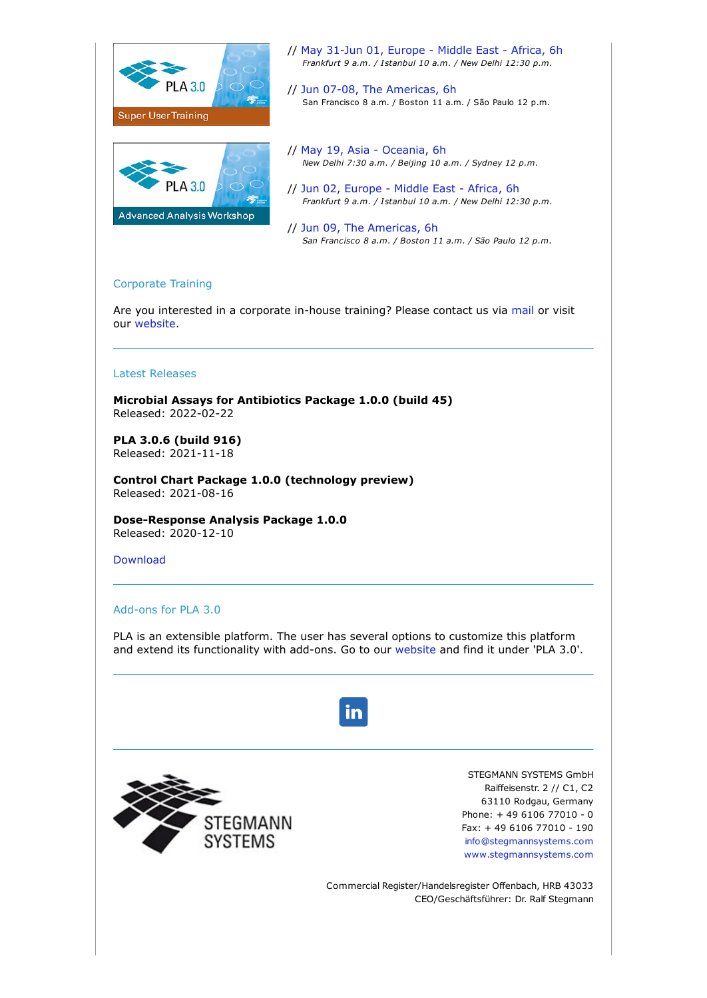

## Corporate Training

Are you interested in a corporate in-house training? Please contact us via [mail](mailto:sales@bioassay.de) or visit our [website.](https://nl.stegmannsystems.com/c/104/5332935/0/0/0/356867/74e9edd8db.html)

## Latest Releases

**Microbial Assays for Antibiotics Package 1.0.0 (build 45)** Released: 2022-02-22

**PLA 3.0.6 (build 916)** Released: 2021-11-18

**Control Chart Package 1.0.0 (technology preview)** Released: 2021-08-16

**Dose-Response Analysis Package 1.0.0** Released: 2020-12-10

[Download](https://nl.stegmannsystems.com/c/104/5332935/0/0/0/356863/cbad655312.html)

## Add-ons for PLA 3.0

PLA is an extensible platform. The user has several options to customize this platform and extend its functionality with add-ons. Go to our [website a](https://nl.stegmannsystems.com/c/104/5332935/0/0/0/356859/58140a1844.html)nd find it under 'PLA 3.0'.





STEGMANN SYSTEMS GmbH Raiffeisenstr. 2 // C1, C2 63110 Rodgau, Germany Phone: + 49 6106 77010 - 0 Fax: + 49 6106 77010 - 190 [info@stegmannsystems.com](mailto:info@stegmannsystems.com) [www.stegmannsystems.com](https://nl.stegmannsystems.com/c/104/5332935/0/0/0/356841/4b70af74d6.html)

Commercial Register/Handelsregister Offenbach, HRB 43033 CEO/Geschäftsführer: Dr. Ralf Stegmann